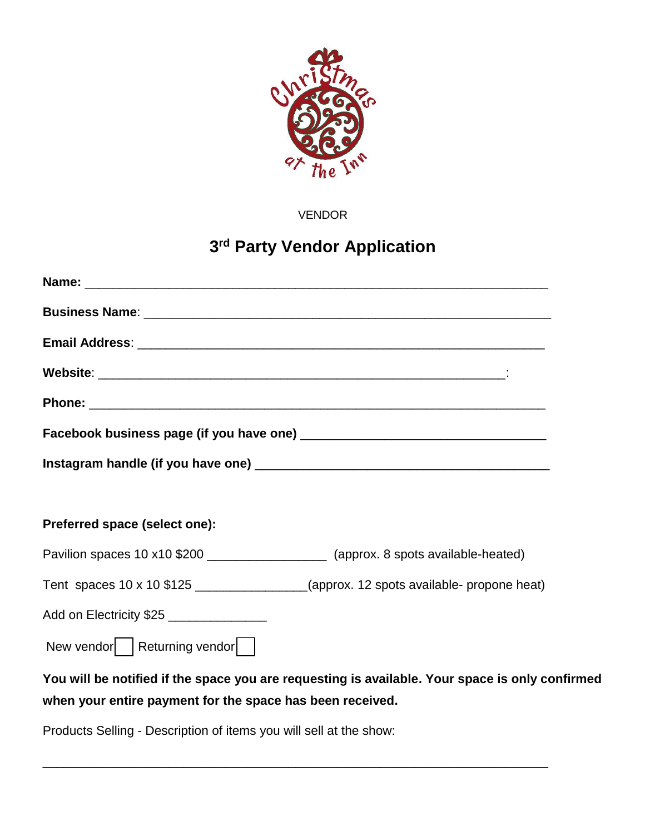

VENDOR

## **3rd Party Vendor Application**

| Preferred space (select one):                                                                                                                                |  |  |
|--------------------------------------------------------------------------------------------------------------------------------------------------------------|--|--|
| Pavilion spaces 10 x10 \$200 ____________________ (approx. 8 spots available-heated)                                                                         |  |  |
| Tent spaces 10 x 10 \$125 ________________(approx. 12 spots available- propone heat)                                                                         |  |  |
| Add on Electricity \$25 _______________                                                                                                                      |  |  |
| New vendor   Returning vendor                                                                                                                                |  |  |
| You will be notified if the space you are requesting is available. Your space is only confirmed<br>when your entire payment for the space has been received. |  |  |
| Products Selling - Description of items you will sell at the show:                                                                                           |  |  |

\_\_\_\_\_\_\_\_\_\_\_\_\_\_\_\_\_\_\_\_\_\_\_\_\_\_\_\_\_\_\_\_\_\_\_\_\_\_\_\_\_\_\_\_\_\_\_\_\_\_\_\_\_\_\_\_\_\_\_\_\_\_\_\_\_\_\_\_\_\_\_\_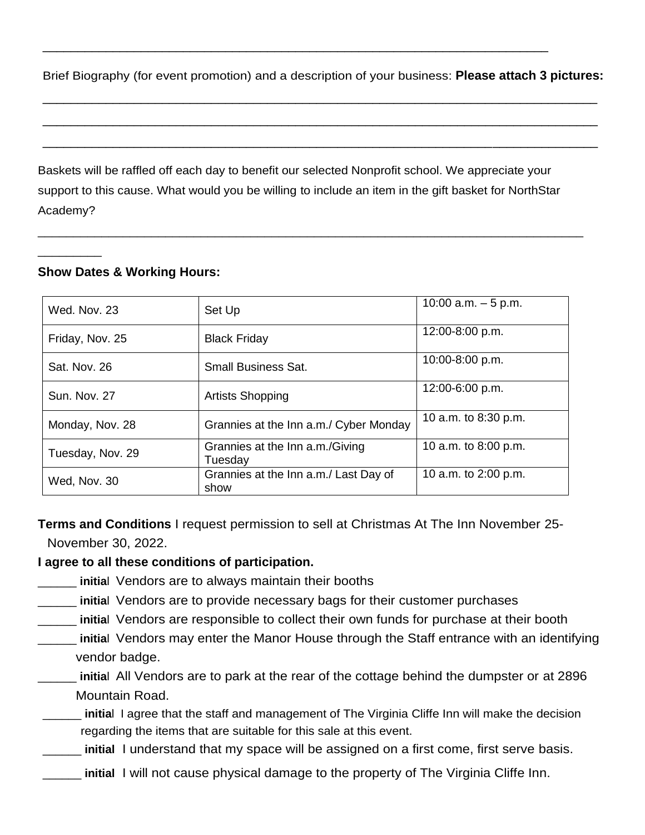Brief Biography (for event promotion) and a description of your business: **Please attach 3 pictures:**

\_\_\_\_\_\_\_\_\_\_\_\_\_\_\_\_\_\_\_\_\_\_\_\_\_\_\_\_\_\_\_\_\_\_\_\_\_\_\_\_\_\_\_\_\_\_\_\_\_\_\_\_\_\_\_\_\_\_\_\_\_\_\_\_\_\_\_\_\_\_\_\_\_\_\_\_\_\_\_

\_\_\_\_\_\_\_\_\_\_\_\_\_\_\_\_\_\_\_\_\_\_\_\_\_\_\_\_\_\_\_\_\_\_\_\_\_\_\_\_\_\_\_\_\_\_\_\_\_\_\_\_\_\_\_\_\_\_\_\_\_\_\_\_\_\_\_\_\_\_\_\_\_\_\_\_\_\_\_

\_\_\_\_\_\_\_\_\_\_\_\_\_\_\_\_\_\_\_\_\_\_\_\_\_\_\_\_\_\_\_\_\_\_\_\_\_\_\_\_\_\_\_\_\_\_\_\_\_\_\_\_\_\_\_\_\_\_\_\_\_\_\_\_\_\_\_\_\_\_\_\_\_\_\_\_\_\_\_

\_\_\_\_\_\_\_\_\_\_\_\_\_\_\_\_\_\_\_\_\_\_\_\_\_\_\_\_\_\_\_\_\_\_\_\_\_\_\_\_\_\_\_\_\_\_\_\_\_\_\_\_\_\_\_\_\_\_\_\_\_\_\_\_\_\_\_\_\_\_\_\_

Baskets will be raffled off each day to benefit our selected Nonprofit school. We appreciate your support to this cause. What would you be willing to include an item in the gift basket for NorthStar Academy?

\_\_\_\_\_\_\_\_\_\_\_\_\_\_\_\_\_\_\_\_\_\_\_\_\_\_\_\_\_\_\_\_\_\_\_\_\_\_\_\_\_\_\_\_\_\_\_\_\_\_\_\_\_\_\_\_\_\_\_\_\_\_\_\_\_\_\_\_\_\_\_\_\_\_\_\_\_

## **Show Dates & Working Hours:**

\_\_\_\_\_\_\_\_\_

| Wed. Nov. 23        | Set Up                                        | 10:00 a.m. $-5$ p.m. |
|---------------------|-----------------------------------------------|----------------------|
| Friday, Nov. 25     | <b>Black Friday</b>                           | 12:00-8:00 p.m.      |
| Sat. Nov. 26        | <b>Small Business Sat.</b>                    | 10:00-8:00 p.m.      |
| <b>Sun. Nov. 27</b> | <b>Artists Shopping</b>                       | 12:00-6:00 p.m.      |
| Monday, Nov. 28     | Grannies at the Inn a.m./ Cyber Monday        | 10 a.m. to 8:30 p.m. |
| Tuesday, Nov. 29    | Grannies at the Inn a.m./Giving<br>Tuesday    | 10 a.m. to 8:00 p.m. |
| Wed, Nov. 30        | Grannies at the Inn a.m./ Last Day of<br>show | 10 a.m. to 2:00 p.m. |

**Terms and Conditions** I request permission to sell at Christmas At The Inn November 25- November 30, 2022.

## **I agree to all these conditions of participation.**

- **initial** Vendors are to always maintain their booths
- \_\_\_\_\_\_ **initia**l Vendors are to provide necessary bags for their customer purchases
- \_\_\_\_\_\_ **initia**l Vendors are responsible to collect their own funds for purchase at their booth
- \_\_\_\_\_\_ **initia**l Vendors may enter the Manor House through the Staff entrance with an identifying vendor badge.
- \_\_\_\_\_\_ **initia**l All Vendors are to park at the rear of the cottage behind the dumpster or at 2896 Mountain Road.
- \_\_\_\_\_\_ **initia**l I agree that the staff and management of The Virginia Cliffe Inn will make the decision regarding the items that are suitable for this sale at this event.
- \_\_\_\_\_\_ **initial** I understand that my space will be assigned on a first come, first serve basis.
- initial I will not cause physical damage to the property of The Virginia Cliffe Inn.